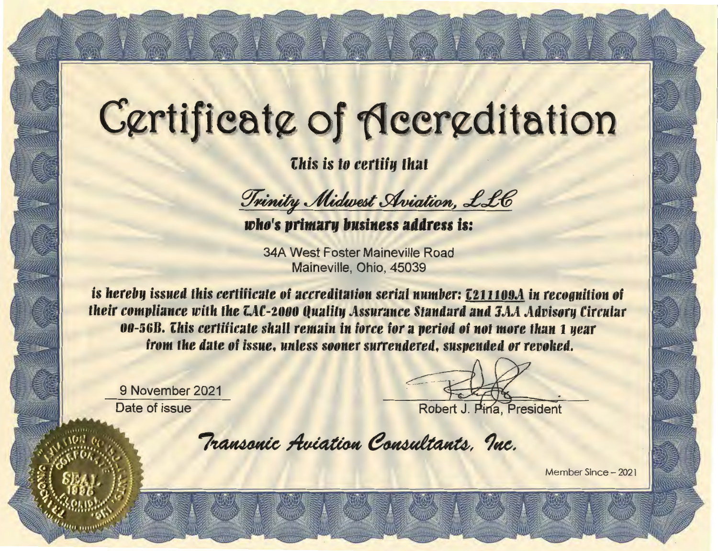## Certificate of Accreditation

*Chis is to certify that* 

Trinity Midwest Aviation, LLC

THE WAS THE WARDEN WAS THE WARDEN WARDEN

who's primary business address is:

**34A West Foster Maineville Road** Maineville, Ohio, 45039

is hereby issued this certificate of accreditation serial number: [211109A in recognition of their compliance with the LAC-2000 Quality Assurance Standard and JAA Advisory Circular 00-56B. This certificate shall remain in force for a period of not more than 1 year from the date of issue, unless sooner surrendered, suspended or revoked.

9 November 2021 Date of issue

Robert J. Pina, President

Transonic Aviation Consultants, Inc.

Member Since - 2021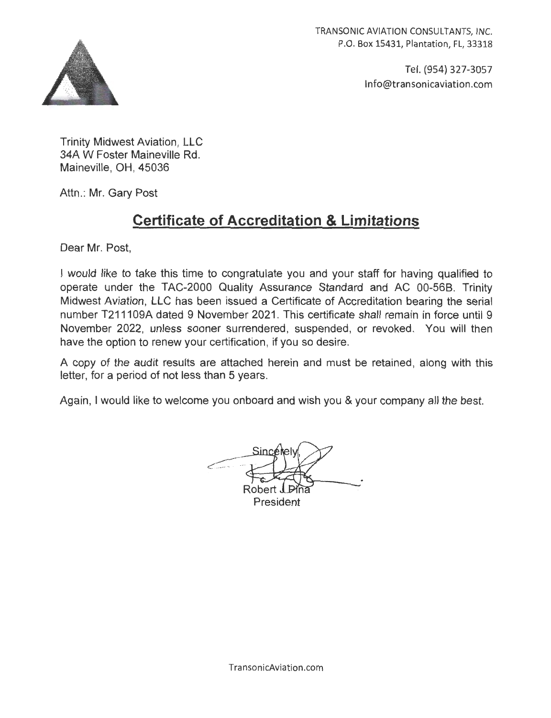TRANSONIC AVIATION CONSULTANTS, INC. P.O. Box 15431, Plantation, FL, 33318



Tel. (954) 327-3057 lnfo@transonicaviation.com

Trinity Midwest Aviation , LLC 34A W Foster Maineville Rd. Maineville, OH, 45036

Attn.: Mr. Gary Post

## **Certificate of Accreditation & Limitations**

Dear Mr. Post,

I would like to take this time to congratulate you and your staff for having qualified to operate under the TAC-2000 Quality Assurance Standard and AC 00-568. Trinity Midwest Aviation, LLC has been issued a Certificate of Accreditation bearing the serial number T211109A dated 9 November 2021. This certificate shall remain in force until 9 November 2022, unless sooner surrendered, suspended, or revoked. You will then have the option to renew your certification, if you so desire.

A copy of the audit results are attached herein and must be retained, along with this letter, for a period of not less than 5 years.

Again, I would like to welcome you onboard and wish you & your company all the best.

Robert President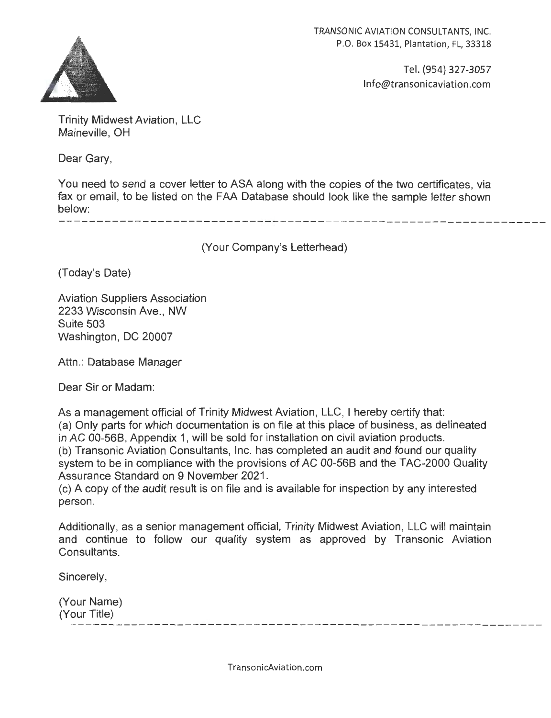

TRANSONIC AVIATION CONSULTANTS, INC. P.O. Box 15431, Plantation, FL, 33318

> Tel. (954) 327-3057 lnfo@transonicaviation.com

Trinity Midwest Aviation, LLC Maineville, OH

Dear Gary,

You need to send a cover letter to ASA along with the copies of the two certificates, via fax or email, to be listed on the FAA Database should look like the sample letter shown below:

(Your Company's Letterhead)

(Today's Date)

Aviation Suppliers Association 2233 Wisconsin Ave., NW Suite 503 Washington, DC 20007

Attn.: Database Manager

Dear Sir or Madam:

As a management official of Trinity Midwest Aviation, LLC, I hereby certify that: (a) Only parts for which documentation is on file at this place of business, as delineated in AC 00-568, Appendix 1, will be sold for installation on civil aviation products. (b) Transonic Aviation Consultants, Inc. has completed an audit and found our quality system to be in compliance with the provisions of AC 00-568 and the TAC-2000 Quality Assurance Standard on 9 November 2021 .

(c) A copy of the audit result is on file and is available for inspection by any interested person.

Additionally, as a senior management official, Trinity Midwest Aviation, LLC will maintain and continue to follow our quality system as approved by Transonic Aviation Consultants.

Sincerely,

(Your Name) (Your Title) 

TransonicAviation.com